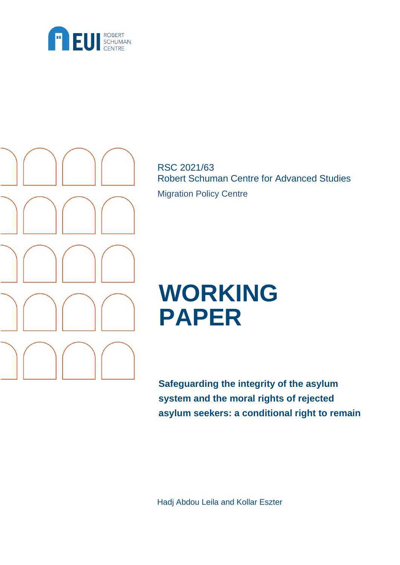



RSC 2021/63 Robert Schuman Centre for Advanced Studies Migration Policy Centre

# **WORKING PAPER**

**Safeguarding the integrity of the asylum system and the moral rights of rejected asylum seekers: a conditional right to remain**

Hadj Abdou Leila and Kollar Eszter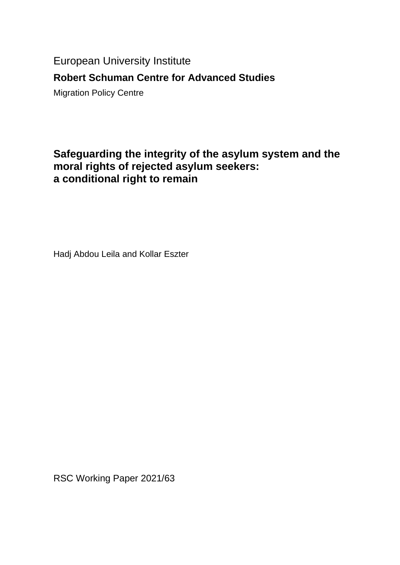European University Institute

# **Robert Schuman Centre for Advanced Studies**

Migration Policy Centre

# **Safeguarding the integrity of the asylum system and the moral rights of rejected asylum seekers: a conditional right to remain**

Hadj Abdou Leila and Kollar Eszter

RSC Working Paper 2021/63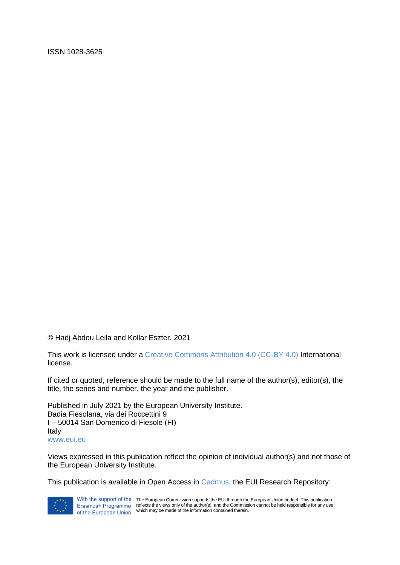ISSN 1028-3625

© Hadj Abdou Leila and Kollar Eszter, 2021

This work is licensed under a [Creative Commons Attribution 4.0 \(CC-BY 4.0\)](https://creativecommons.org/licenses/by/4.0/) International license.

If cited or quoted, reference should be made to the full name of the author(s), editor(s), the title, the series and number, the year and the publisher.

Published in July 2021 by the European University Institute. Badia Fiesolana, via dei Roccettini 9 I – 50014 San Domenico di Fiesole (FI) Italy [www.eui.eu](http://www.eui.eu/)

Views expressed in this publication reflect the opinion of individual author(s) and not those of the European University Institute.

This publication is available in Open Access in [Cadmus,](https://cadmus.eui.eu/) the EUI Research Repository:



With the support of the The European Commission supports the EUI through the European Union budget. This publication reflects the views only of the author(s), and the Commission cannot be held responsible for any use which may be made of the information contained therein.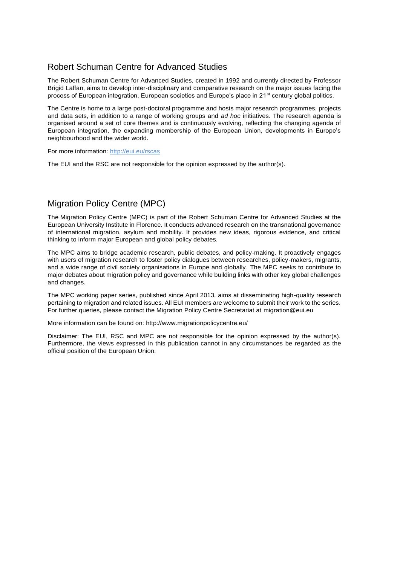# Robert Schuman Centre for Advanced Studies

The Robert Schuman Centre for Advanced Studies, created in 1992 and currently directed by Professor Brigid Laffan, aims to develop inter-disciplinary and comparative research on the major issues facing the process of European integration, European societies and Europe's place in 21<sup>st</sup> century global politics.

The Centre is home to a large post-doctoral programme and hosts major research programmes, projects and data sets, in addition to a range of working groups and *ad hoc* initiatives. The research agenda is organised around a set of core themes and is continuously evolving, reflecting the changing agenda of European integration, the expanding membership of the European Union, developments in Europe's neighbourhood and the wider world.

For more information:<http://eui.eu/rscas>

The EUI and the RSC are not responsible for the opinion expressed by the author(s).

# Migration Policy Centre (MPC)

The Migration Policy Centre (MPC) is part of the Robert Schuman Centre for Advanced Studies at the European University Institute in Florence. It conducts advanced research on the transnational governance of international migration, asylum and mobility. It provides new ideas, rigorous evidence, and critical thinking to inform major European and global policy debates.

The MPC aims to bridge academic research, public debates, and policy-making. It proactively engages with users of migration research to foster policy dialogues between researches, policy-makers, migrants, and a wide range of civil society organisations in Europe and globally. The MPC seeks to contribute to major debates about migration policy and governance while building links with other key global challenges and changes.

The MPC working paper series, published since April 2013, aims at disseminating high-quality research pertaining to migration and related issues. All EUI members are welcome to submit their work to the series. For further queries, please contact the Migration Policy Centre Secretariat at [migration@eui.eu](about:blank)

More information can be found on: [http://www.migrationpolicycentre.eu/](about:blank)

Disclaimer: The EUI, RSC and MPC are not responsible for the opinion expressed by the author(s). Furthermore, the views expressed in this publication cannot in any circumstances be regarded as the official position of the European Union.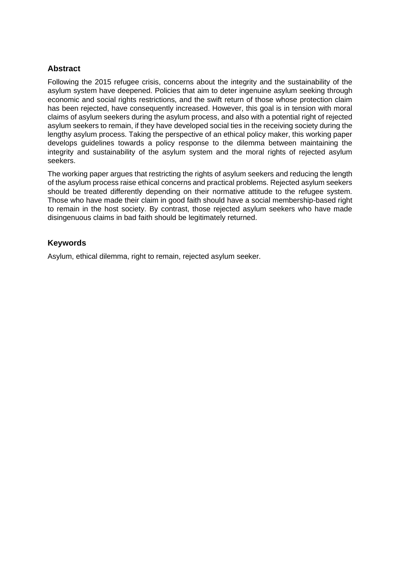#### **Abstract**

Following the 2015 refugee crisis, concerns about the integrity and the sustainability of the asylum system have deepened. Policies that aim to deter ingenuine asylum seeking through economic and social rights restrictions, and the swift return of those whose protection claim has been rejected, have consequently increased. However, this goal is in tension with moral claims of asylum seekers during the asylum process, and also with a potential right of rejected asylum seekers to remain, if they have developed social ties in the receiving society during the lengthy asylum process. Taking the perspective of an ethical policy maker, this working paper develops guidelines towards a policy response to the dilemma between maintaining the integrity and sustainability of the asylum system and the moral rights of rejected asylum seekers.

The working paper argues that restricting the rights of asylum seekers and reducing the length of the asylum process raise ethical concerns and practical problems. Rejected asylum seekers should be treated differently depending on their normative attitude to the refugee system. Those who have made their claim in good faith should have a social membership-based right to remain in the host society. By contrast, those rejected asylum seekers who have made disingenuous claims in bad faith should be legitimately returned.

#### **Keywords**

Asylum, ethical dilemma, right to remain, rejected asylum seeker.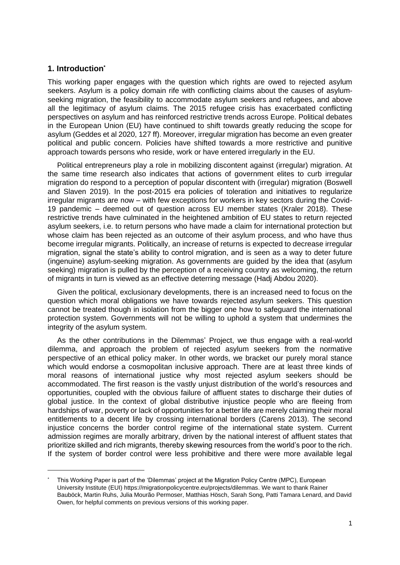#### **1. Introduction\***

This working paper engages with the question which rights are owed to rejected asylum seekers. Asylum is a policy domain rife with conflicting claims about the causes of asylumseeking migration, the feasibility to accommodate asylum seekers and refugees, and above all the legitimacy of asylum claims. The 2015 refugee crisis has exacerbated conflicting perspectives on asylum and has reinforced restrictive trends across Europe. Political debates in the European Union (EU) have continued to shift towards greatly reducing the scope for asylum (Geddes et al 2020, 127 ff). Moreover, irregular migration has become an even greater political and public concern. Policies have shifted towards a more restrictive and punitive approach towards persons who reside, work or have entered irregularly in the EU.

Political entrepreneurs play a role in mobilizing discontent against (irregular) migration. At the same time research also indicates that actions of government elites to curb irregular migration do respond to a perception of popular discontent with (irregular) migration (Boswell and Slaven 2019). In the post-2015 era policies of toleration and initiatives to regularize irregular migrants are now – with few exceptions for workers in key sectors during the Covid-19 pandemic – deemed out of question across EU member states (Kraler 2018). These restrictive trends have culminated in the heightened ambition of EU states to return rejected asylum seekers, i.e. to return persons who have made a claim for international protection but whose claim has been rejected as an outcome of their asylum process, and who have thus become irregular migrants. Politically, an increase of returns is expected to decrease irregular migration, signal the state's ability to control migration, and is seen as a way to deter future (ingenuine) asylum-seeking migration. As governments are guided by the idea that (asylum seeking) migration is pulled by the perception of a receiving country as welcoming, the return of migrants in turn is viewed as an effective deterring message (Hadj Abdou 2020).

Given the political, exclusionary developments, there is an increased need to focus on the question which moral obligations we have towards rejected asylum seekers. This question cannot be treated though in isolation from the bigger one how to safeguard the international protection system. Governments will not be willing to uphold a system that undermines the integrity of the asylum system.

As the other contributions in the Dilemmas' Project, we thus engage with a real-world dilemma, and approach the problem of rejected asylum seekers from the normative perspective of an ethical policy maker. In other words, we bracket our purely moral stance which would endorse a cosmopolitan inclusive approach. There are at least three kinds of moral reasons of international justice why most rejected asylum seekers should be accommodated. The first reason is the vastly unjust distribution of the world's resources and opportunities, coupled with the obvious failure of affluent states to discharge their duties of global justice. In the context of global distributive injustice people who are fleeing from hardships of war, poverty or lack of opportunities for a better life are merely claiming their moral entitlements to a decent life by crossing international borders (Carens 2013). The second injustice concerns the border control regime of the international state system. Current admission regimes are morally arbitrary, driven by the national interest of affluent states that prioritize skilled and rich migrants, thereby skewing resources from the world's poor to the rich. If the system of border control were less prohibitive and there were more available legal

This Working Paper is part of the 'Dilemmas' project at the Migration Policy Centre (MPC), European University Institute (EUI[\) https://migrationpolicycentre.eu/projects/dilemmas.](https://migrationpolicycentre.eu/projects/dilemmas) We want to thank Rainer Bauböck, Martin Ruhs, Julia Mourão Permoser, Matthias Hösch, Sarah Song, Patti Tamara Lenard, and David Owen, for helpful comments on previous versions of this working paper.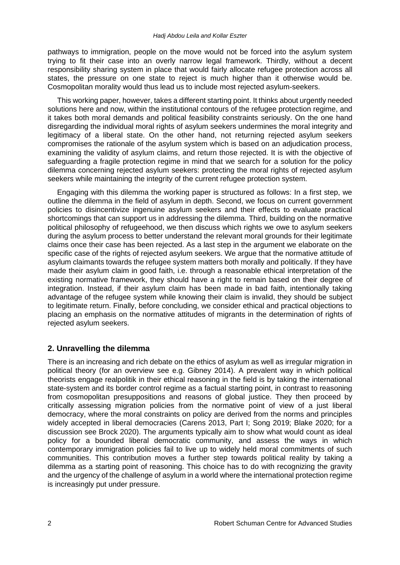pathways to immigration, people on the move would not be forced into the asylum system trying to fit their case into an overly narrow legal framework. Thirdly, without a decent responsibility sharing system in place that would fairly allocate refugee protection across all states, the pressure on one state to reject is much higher than it otherwise would be. Cosmopolitan morality would thus lead us to include most rejected asylum-seekers.

This working paper, however, takes a different starting point. It thinks about urgently needed solutions here and now, within the institutional contours of the refugee protection regime, and it takes both moral demands and political feasibility constraints seriously. On the one hand disregarding the individual moral rights of asylum seekers undermines the moral integrity and legitimacy of a liberal state. On the other hand, not returning rejected asylum seekers compromises the rationale of the asylum system which is based on an adjudication process, examining the validity of asylum claims, and return those rejected. It is with the objective of safeguarding a fragile protection regime in mind that we search for a solution for the policy dilemma concerning rejected asylum seekers: protecting the moral rights of rejected asylum seekers while maintaining the integrity of the current refugee protection system.

Engaging with this dilemma the working paper is structured as follows: In a first step, we outline the dilemma in the field of asylum in depth. Second, we focus on current government policies to disincentivize ingenuine asylum seekers and their effects to evaluate practical shortcomings that can support us in addressing the dilemma. Third, building on the normative political philosophy of refugeehood, we then discuss which rights we owe to asylum seekers during the asylum process to better understand the relevant moral grounds for their legitimate claims once their case has been rejected. As a last step in the argument we elaborate on the specific case of the rights of rejected asylum seekers. We argue that the normative attitude of asylum claimants towards the refugee system matters both morally and politically. If they have made their asylum claim in good faith, i.e. through a reasonable ethical interpretation of the existing normative framework, they should have a right to remain based on their degree of integration. Instead, if their asylum claim has been made in bad faith, intentionally taking advantage of the refugee system while knowing their claim is invalid, they should be subject to legitimate return. Finally, before concluding, we consider ethical and practical objections to placing an emphasis on the normative attitudes of migrants in the determination of rights of rejected asylum seekers.

# **2. Unravelling the dilemma**

There is an increasing and rich debate on the ethics of asylum as well as irregular migration in political theory (for an overview see e.g. Gibney 2014). A prevalent way in which political theorists engage realpolitik in their ethical reasoning in the field is by taking the international state-system and its border control regime as a factual starting point, in contrast to reasoning from cosmopolitan presuppositions and reasons of global justice. They then proceed by critically assessing migration policies from the normative point of view of a just liberal democracy, where the moral constraints on policy are derived from the norms and principles widely accepted in liberal democracies (Carens 2013, Part I; Song 2019; Blake 2020; for a discussion see Brock 2020). The arguments typically aim to show what would count as ideal policy for a bounded liberal democratic community, and assess the ways in which contemporary immigration policies fail to live up to widely held moral commitments of such communities. This contribution moves a further step towards political reality by taking a dilemma as a starting point of reasoning. This choice has to do with recognizing the gravity and the urgency of the challenge of asylum in a world where the international protection regime is increasingly put under pressure.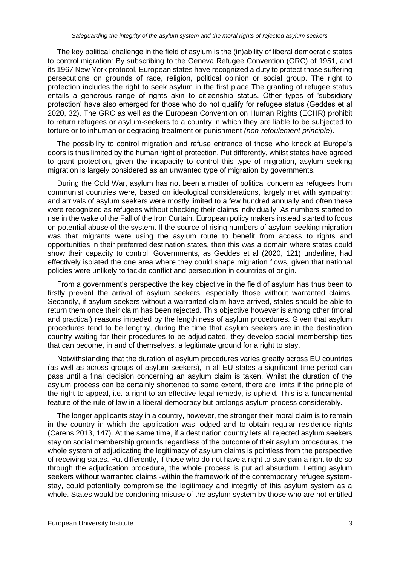The key political challenge in the field of asylum is the (in)ability of liberal democratic states to control migration: By subscribing to the Geneva Refugee Convention (GRC) of 1951, and its 1967 New York protocol, European states have recognized a duty to protect those suffering persecutions on grounds of race, religion, political opinion or social group. The right to protection includes the right to seek asylum in the first place The granting of refugee status entails a generous range of rights akin to citizenship status. Other types of 'subsidiary protection' have also emerged for those who do not qualify for refugee status (Geddes et al 2020, 32). The GRC as well as the European Convention on Human Rights (ECHR) prohibit to return refugees or asylum-seekers to a country in which they are liable to be subjected to torture or to inhuman or degrading treatment or punishment *(non-refoulement principle*).

The possibility to control migration and refuse entrance of those who knock at Europe's doors is thus limited by the human right of protection. Put differently, whilst states have agreed to grant protection, given the incapacity to control this type of migration, asylum seeking migration is largely considered as an unwanted type of migration by governments.

During the Cold War, asylum has not been a matter of political concern as refugees from communist countries were, based on ideological considerations, largely met with sympathy; and arrivals of asylum seekers were mostly limited to a few hundred annually and often these were recognized as refugees without checking their claims individually. As numbers started to rise in the wake of the Fall of the Iron Curtain, European policy makers instead started to focus on potential abuse of the system. If the source of rising numbers of asylum-seeking migration was that migrants were using the asylum route to benefit from access to rights and opportunities in their preferred destination states, then this was a domain where states could show their capacity to control. Governments, as Geddes et al (2020, 121) underline, had effectively isolated the one area where they could shape migration flows, given that national policies were unlikely to tackle conflict and persecution in countries of origin.

From a government's perspective the key objective in the field of asylum has thus been to firstly prevent the arrival of asylum seekers, especially those without warranted claims. Secondly, if asylum seekers without a warranted claim have arrived, states should be able to return them once their claim has been rejected. This objective however is among other (moral and practical) reasons impeded by the lengthiness of asylum procedures. Given that asylum procedures tend to be lengthy, during the time that asylum seekers are in the destination country waiting for their procedures to be adjudicated, they develop social membership ties that can become, in and of themselves, a legitimate ground for a right to stay.

Notwithstanding that the duration of asylum procedures varies greatly across EU countries (as well as across groups of asylum seekers), in all EU states a significant time period can pass until a final decision concerning an asylum claim is taken. Whilst the duration of the asylum process can be certainly shortened to some extent, there are limits if the principle of the right to appeal, i.e. a right to an effective legal remedy, is upheld. This is a fundamental feature of the rule of law in a liberal democracy but prolongs asylum process considerably.

The longer applicants stay in a country, however, the stronger their moral claim is to remain in the country in which the application was lodged and to obtain regular residence rights (Carens 2013, 147). At the same time, if a destination country lets all rejected asylum seekers stay on social membership grounds regardless of the outcome of their asylum procedures, the whole system of adjudicating the legitimacy of asylum claims is pointless from the perspective of receiving states. Put differently, if those who do not have a right to stay gain a right to do so through the adjudication procedure, the whole process is put ad absurdum. Letting asylum seekers without warranted claims -within the framework of the contemporary refugee systemstay, could potentially compromise the legitimacy and integrity of this asylum system as a whole. States would be condoning misuse of the asylum system by those who are not entitled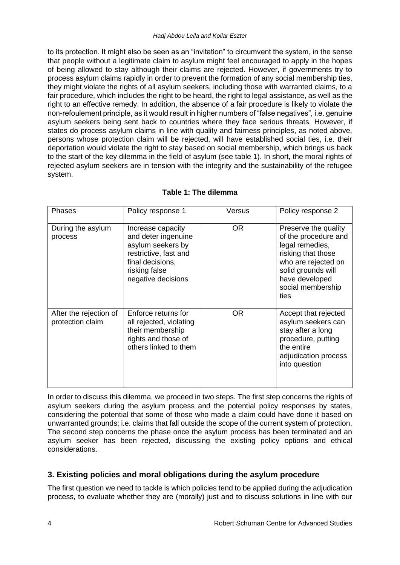to its protection. It might also be seen as an "invitation" to circumvent the system, in the sense that people without a legitimate claim to asylum might feel encouraged to apply in the hopes of being allowed to stay although their claims are rejected. However, if governments try to process asylum claims rapidly in order to prevent the formation of any social membership ties, they might violate the rights of all asylum seekers, including those with warranted claims, to a fair procedure, which includes the right to be heard, the right to legal assistance, as well as the right to an effective remedy. In addition, the absence of a fair procedure is likely to violate the non-refoulement principle, as it would result in higher numbers of "false negatives", i.e. genuine asylum seekers being sent back to countries where they face serious threats. However, if states do process asylum claims in line with quality and fairness principles, as noted above, persons whose protection claim will be rejected, will have established social ties, i.e. their deportation would violate the right to stay based on social membership, which brings us back to the start of the key dilemma in the field of asylum (see table 1). In short, the moral rights of rejected asylum seekers are in tension with the integrity and the sustainability of the refugee system.

| Phases                                     | Policy response 1                                                                                                                                 | Versus    | Policy response 2                                                                                                                                                                 |
|--------------------------------------------|---------------------------------------------------------------------------------------------------------------------------------------------------|-----------|-----------------------------------------------------------------------------------------------------------------------------------------------------------------------------------|
| During the asylum<br>process               | Increase capacity<br>and deter ingenuine<br>asylum seekers by<br>restrictive, fast and<br>final decisions,<br>risking false<br>negative decisions | <b>OR</b> | Preserve the quality<br>of the procedure and<br>legal remedies,<br>risking that those<br>who are rejected on<br>solid grounds will<br>have developed<br>social membership<br>ties |
| After the rejection of<br>protection claim | Enforce returns for<br>all rejected, violating<br>their membership<br>rights and those of<br>others linked to them                                | <b>OR</b> | Accept that rejected<br>asylum seekers can<br>stay after a long<br>procedure, putting<br>the entire<br>adjudication process<br>into question                                      |

# **Table 1: The dilemma**

In order to discuss this dilemma, we proceed in two steps. The first step concerns the rights of asylum seekers during the asylum process and the potential policy responses by states, considering the potential that some of those who made a claim could have done it based on unwarranted grounds; i.e. claims that fall outside the scope of the current system of protection. The second step concerns the phase once the asylum process has been terminated and an asylum seeker has been rejected, discussing the existing policy options and ethical considerations.

# **3. Existing policies and moral obligations during the asylum procedure**

The first question we need to tackle is which policies tend to be applied during the adjudication process, to evaluate whether they are (morally) just and to discuss solutions in line with our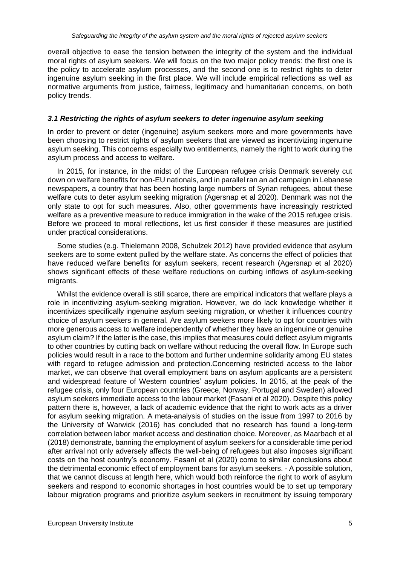overall objective to ease the tension between the integrity of the system and the individual moral rights of asylum seekers. We will focus on the two major policy trends: the first one is the policy to accelerate asylum processes, and the second one is to restrict rights to deter ingenuine asylum seeking in the first place. We will include empirical reflections as well as normative arguments from justice, fairness, legitimacy and humanitarian concerns, on both policy trends.

#### *3.1 Restricting the rights of asylum seekers to deter ingenuine asylum seeking*

In order to prevent or deter (ingenuine) asylum seekers more and more governments have been choosing to restrict rights of asylum seekers that are viewed as incentivizing ingenuine asylum seeking. This concerns especially two entitlements, namely the right to work during the asylum process and access to welfare.

In 2015, for instance, in the midst of the European refugee crisis Denmark severely cut down on welfare benefits for non-EU nationals, and in parallel ran an ad campaign in Lebanese newspapers, a country that has been hosting large numbers of Syrian refugees, about these welfare cuts to deter asylum seeking migration (Agersnap et al 2020). Denmark was not the only state to opt for such measures. Also, other governments have increasingly restricted welfare as a preventive measure to reduce immigration in the wake of the 2015 refugee crisis. Before we proceed to moral reflections, let us first consider if these measures are justified under practical considerations.

Some studies (e.g. Thielemann 2008, Schulzek 2012) have provided evidence that asylum seekers are to some extent pulled by the welfare state. As concerns the effect of policies that have reduced welfare benefits for asylum seekers, recent research (Agersnap et al 2020) shows significant effects of these welfare reductions on curbing inflows of asylum-seeking migrants.

Whilst the evidence overall is still scarce, there are empirical indicators that welfare plays a role in incentivizing asylum-seeking migration. However, we do lack knowledge whether it incentivizes specifically ingenuine asylum seeking migration, or whether it influences country choice of asylum seekers in general. Are asylum seekers more likely to opt for countries with more generous access to welfare independently of whether they have an ingenuine or genuine asylum claim? If the latter is the case, this implies that measures could deflect asylum migrants to other countries by cutting back on welfare without reducing the overall flow. In Europe such policies would result in a race to the bottom and further undermine solidarity among EU states with regard to refugee admission and protection.Concerning restricted access to the labor market, we can observe that overall employment bans on asylum applicants are a persistent and widespread feature of Western countries' asylum policies. In 2015, at the peak of the refugee crisis, only four European countries (Greece, Norway, Portugal and Sweden) allowed asylum seekers immediate access to the labour market (Fasani et al 2020). Despite this policy pattern there is, however, a lack of academic evidence that the right to work acts as a driver for asylum seeking migration. A meta-analysis of studies on the issue from 1997 to 2016 by the University of Warwick (2016) has concluded that no research has found a long-term correlation between labor market access and destination choice. Moreover, as Maarbach et al (2018) demonstrate, banning the employment of asylum seekers for a considerable time period after arrival not only adversely affects the well-being of refugees but also imposes significant costs on the host country's economy. Fasani et al (2020) come to similar conclusions about the detrimental economic effect of employment bans for asylum seekers. - A possible solution, that we cannot discuss at length here, which would both reinforce the right to work of asylum seekers and respond to economic shortages in host countries would be to set up temporary labour migration programs and prioritize asylum seekers in recruitment by issuing temporary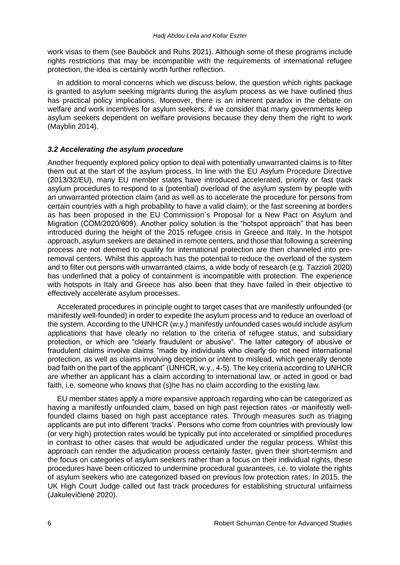work visas to them (see Bauböck and Ruhs 2021). Although some of these programs include rights restrictions that may be incompatible with the requirements of international refugee protection, the idea is certainly worth further reflection.

In addition to moral concerns which we discuss below, the question which rights package is granted to asylum seeking migrants during the asylum process as we have outlined thus has practical policy implications. Moreover, there is an inherent paradox in the debate on welfare and work incentives for asylum seekers, if we consider that many governments keep asylum seekers dependent on welfare provisions because they deny them the right to work (Mayblin 2014).

#### *3.2 Accelerating the asylum procedure*

Another frequently explored policy option to deal with potentially unwarranted claims is to filter them out at the start of the asylum process. In line with the EU Asylum Procedure Directive (2013/32/EU), many EU member states have introduced accelerated, priority or fast track asylum procedures to respond to a (potential) overload of the asylum system by people with an unwarranted protection claim (and as well as to accelerate the procedure for persons from certain countries with a high probability to have a valid claim); or the fast screening at borders as has been proposed in the EU Commission`s Proposal for a New Pact on Asylum and Migration (COM/2020/609). Another policy solution is the "hotspot approach" that has been introduced during the height of the 2015 refugee crisis in Greece and Italy. In the hotspot approach, asylum seekers are detained in remote centers, and those that following a screening process are not deemed to qualify for international protection are then channeled into preremoval centers. Whilst this approach has the potential to reduce the overload of the system and to filter out persons with unwarranted claims, a wide body of research (e.g. Tazzioli 2020) has underlined that a policy of containment is incompatible with protection. The experience with hotspots in Italy and Greece has also been that they have failed in their objective to effectively accelerate asylum processes.

Accelerated procedures in principle ought to target cases that are manifestly unfounded (or manifestly well-founded) in order to expedite the asylum process and to reduce an overload of the system. According to the UNHCR (w.y.) manifestly unfounded cases would include asylum applications that have clearly no relation to the criteria of refugee status, and subsidiary protection, or which are "clearly fraudulent or abusive". The latter category of abusive or fraudulent claims involve claims "made by individuals who clearly do not need international protection, as well as claims involving deception or intent to mislead, which generally denote bad faith on the part of the applicant" (UNHCR, w.y., 4-5). The key criteria according to UNHCR are whether an applicant has a claim according to international law, or acted in good or bad faith, i.e. someone who knows that (s)he has no claim according to the existing law.

EU member states apply a more expansive approach regarding who can be categorized as having a manifestly unfounded claim, based on high past rejection rates -or manifestly wellfounded claims based on high past acceptance rates. Through measures such as triaging applicants are put into different 'tracks'. Persons who come from countries with previously low (or very high) protection rates would be typically put into accelerated or simplified procedures in contrast to other cases that would be adjudicated under the regular process. Whilst this approach can render the adjudication process certainly faster, given their short-termism and the focus on categories of asylum seekers rather than a focus on their individual rights, these procedures have been criticized to undermine procedural guarantees, i.e. to violate the rights of asylum seekers who are categorized based on previous low protection rates. In 2015, the UK High Court Judge called out fast track procedures for establishing structural unfairness [\(Jakulevičienė](http://odysseus-network.eu/members/lyra-jakuleviciene/) 2020).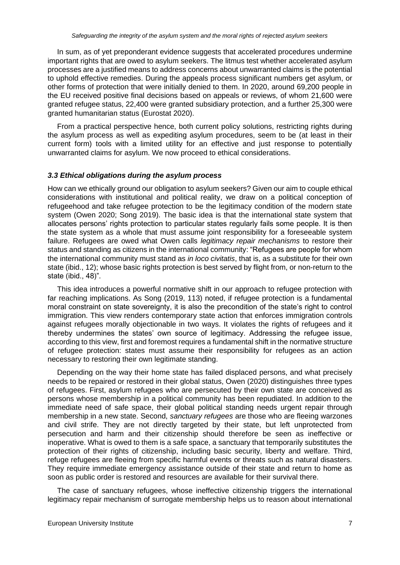In sum, as of yet preponderant evidence suggests that accelerated procedures undermine important rights that are owed to asylum seekers. The litmus test whether accelerated asylum processes are a justified means to address concerns about unwarranted claims is the potential to uphold effective remedies. During the appeals process significant numbers get asylum, or other forms of protection that were initially denied to them. In 2020, around 69,200 people in the EU received positive final decisions based on appeals or reviews, of whom 21,600 were granted refugee status, 22,400 were granted subsidiary protection, and a further 25,300 were granted humanitarian status (Eurostat 2020).

From a practical perspective hence, both current policy solutions, restricting rights during the asylum process as well as expediting asylum procedures, seem to be (at least in their current form) tools with a limited utility for an effective and just response to potentially unwarranted claims for asylum. We now proceed to ethical considerations.

#### *3.3 Ethical obligations during the asylum process*

How can we ethically ground our obligation to asylum seekers? Given our aim to couple ethical considerations with institutional and political reality, we draw on a political conception of refugeehood and take refugee protection to be the legitimacy condition of the modern state system (Owen 2020; Song 2019). The basic idea is that the international state system that allocates persons' rights protection to particular states regularly fails some people. It is then the state system as a whole that must assume joint responsibility for a foreseeable system failure. Refugees are owed what Owen calls *legitimacy repair mechanisms* to restore their status and standing as citizens in the international community: "Refugees are people for whom the international community must stand as *in loco civitatis*, that is, as a substitute for their own state (ibid., 12); whose basic rights protection is best served by flight from, or non-return to the state (ibid., 48)".

This idea introduces a powerful normative shift in our approach to refugee protection with far reaching implications. As Song (2019, 113) noted, if refugee protection is a fundamental moral constraint on state sovereignty, it is also the precondition of the state's right to control immigration. This view renders contemporary state action that enforces immigration controls against refugees morally objectionable in two ways. It violates the rights of refugees and it thereby undermines the states' own source of legitimacy. Addressing the refugee issue, according to this view, first and foremost requires a fundamental shift in the normative structure of refugee protection: states must assume their responsibility for refugees as an action necessary to restoring their own legitimate standing.

Depending on the way their home state has failed displaced persons, and what precisely needs to be repaired or restored in their global status, Owen (2020) distinguishes three types of refugees. First, asylum refugees who are persecuted by their own state are conceived as persons whose membership in a political community has been repudiated. In addition to the immediate need of safe space, their global political standing needs urgent repair through membership in a new state. Second, *sanctuary refugees* are those who are fleeing warzones and civil strife. They are not directly targeted by their state, but left unprotected from persecution and harm and their citizenship should therefore be seen as ineffective or inoperative. What is owed to them is a safe space, a sanctuary that temporarily substitutes the protection of their rights of citizenship, including basic security, liberty and welfare. Third, refuge refugees are fleeing from specific harmful events or threats such as natural disasters. They require immediate emergency assistance outside of their state and return to home as soon as public order is restored and resources are available for their survival there.

The case of sanctuary refugees, whose ineffective citizenship triggers the international legitimacy repair mechanism of surrogate membership helps us to reason about international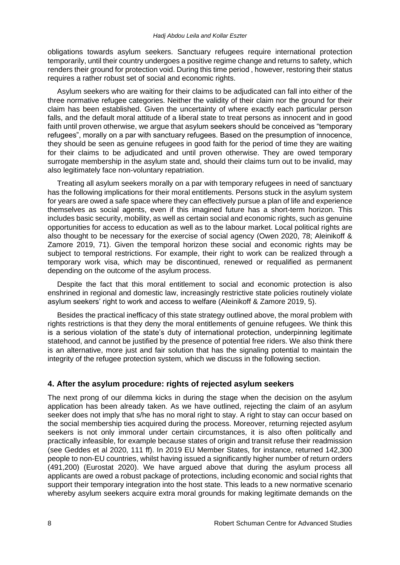obligations towards asylum seekers. Sanctuary refugees require international protection temporarily, until their country undergoes a positive regime change and returns to safety, which renders their ground for protection void. During this time period , however, restoring their status requires a rather robust set of social and economic rights.

Asylum seekers who are waiting for their claims to be adjudicated can fall into either of the three normative refugee categories. Neither the validity of their claim nor the ground for their claim has been established. Given the uncertainty of where exactly each particular person falls, and the default moral attitude of a liberal state to treat persons as innocent and in good faith until proven otherwise, we argue that asylum seekers should be conceived as "temporary refugees", morally on a par with sanctuary refugees. Based on the presumption of innocence, they should be seen as genuine refugees in good faith for the period of time they are waiting for their claims to be adjudicated and until proven otherwise. They are owed temporary surrogate membership in the asylum state and, should their claims turn out to be invalid, may also legitimately face non-voluntary repatriation.

Treating all asylum seekers morally on a par with temporary refugees in need of sanctuary has the following implications for their moral entitlements. Persons stuck in the asylum system for years are owed a safe space where they can effectively pursue a plan of life and experience themselves as social agents, even if this imagined future has a short-term horizon. This includes basic security, mobility, as well as certain social and economic rights, such as genuine opportunities for access to education as well as to the labour market. Local political rights are also thought to be necessary for the exercise of social agency (Owen 2020, 78; Aleinikoff & Zamore 2019, 71). Given the temporal horizon these social and economic rights may be subject to temporal restrictions. For example, their right to work can be realized through a temporary work visa, which may be discontinued, renewed or requalified as permanent depending on the outcome of the asylum process.

Despite the fact that this moral entitlement to social and economic protection is also enshrined in regional and domestic law, increasingly restrictive state policies routinely violate asylum seekers' right to work and access to welfare (Aleinikoff & Zamore 2019, 5).

Besides the practical inefficacy of this state strategy outlined above, the moral problem with rights restrictions is that they deny the moral entitlements of genuine refugees. We think this is a serious violation of the state's duty of international protection, underpinning legitimate statehood, and cannot be justified by the presence of potential free riders. We also think there is an alternative, more just and fair solution that has the signaling potential to maintain the integrity of the refugee protection system, which we discuss in the following section.

# **4. After the asylum procedure: rights of rejected asylum seekers**

The next prong of our dilemma kicks in during the stage when the decision on the asylum application has been already taken. As we have outlined, rejecting the claim of an asylum seeker does not imply that s/he has no moral right to stay. A right to stay can occur based on the social membership ties acquired during the process. Moreover, returning rejected asylum seekers is not only immoral under certain circumstances, it is also often politically and practically infeasible, for example because states of origin and transit refuse their readmission (see Geddes et al 2020, 111 ff). In 2019 EU Member States, for instance, returned 142,300 people to non-EU countries, whilst having issued a significantly higher number of return orders (491,200) (Eurostat 2020). We have argued above that during the asylum process all applicants are owed a robust package of protections, including economic and social rights that support their temporary integration into the host state. This leads to a new normative scenario whereby asylum seekers acquire extra moral grounds for making legitimate demands on the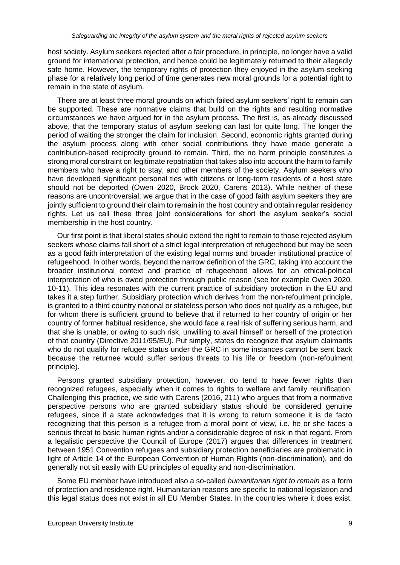host society. Asylum seekers rejected after a fair procedure, in principle, no longer have a valid ground for international protection, and hence could be legitimately returned to their allegedly safe home. However, the temporary rights of protection they enjoyed in the asylum-seeking phase for a relatively long period of time generates new moral grounds for a potential right to remain in the state of asylum.

There are at least three moral grounds on which failed asylum seekers' right to remain can be supported. These are normative claims that build on the rights and resulting normative circumstances we have argued for in the asylum process. The first is, as already discussed above, that the temporary status of asylum seeking can last for quite long. The longer the period of waiting the stronger the claim for inclusion. Second, economic rights granted during the asylum process along with other social contributions they have made generate a contribution-based reciprocity ground to remain. Third, the no harm principle constitutes a strong moral constraint on legitimate repatriation that takes also into account the harm to family members who have a right to stay, and other members of the society. Asylum seekers who have developed significant personal ties with citizens or long-term residents of a host state should not be deported (Owen 2020, Brock 2020, Carens 2013). While neither of these reasons are uncontroversial, we argue that in the case of good faith asylum seekers they are jointly sufficient to ground their claim to remain in the host country and obtain regular residency rights. Let us call these three joint considerations for short the asylum seeker's social membership in the host country.

Our first point is that liberal states should extend the right to remain to those rejected asylum seekers whose claims fall short of a strict legal interpretation of refugeehood but may be seen as a good faith interpretation of the existing legal norms and broader institutional practice of refugeehood. In other words, beyond the narrow definition of the GRC, taking into account the broader institutional context and practice of refugeehood allows for an ethical-political interpretation of who is owed protection through public reason (see for example Owen 2020, 10-11). This idea resonates with the current practice of subsidiary protection in the EU and takes it a step further. Subsidiary protection which derives from the non-refoulment principle, is granted to a third country national or stateless person who does not qualify as a refugee, but for whom there is sufficient ground to believe that if returned to her country of origin or her country of former habitual residence, she would face a real risk of suffering serious harm, and that she is unable, or owing to such risk, unwilling to avail himself or herself of the protection of that country (Directive 2011/95/EU). Put simply, states do recognize that asylum claimants who do not qualify for refugee status under the GRC in some instances cannot be sent back because the returnee would suffer serious threats to his life or freedom (non-refoulment principle).

Persons granted subsidiary protection, however, do tend to have fewer rights than recognized refugees, especially when it comes to rights to welfare and family reunification. Challenging this practice, we side with Carens (2016, 211) who argues that from a normative perspective persons who are granted subsidiary status should be considered genuine refugees, since if a state acknowledges that it is wrong to return someone it is de facto recognizing that this person is a refugee from a moral point of view, i.e. he or she faces a serious threat to basic human rights and/or a considerable degree of risk in that regard. From a legalistic perspective the Council of Europe (2017) argues that differences in treatment between 1951 Convention refugees and subsidiary protection beneficiaries are problematic in light of Article 14 of the European Convention of Human Rights (non-discrimination), and do generally not sit easily with EU principles of equality and non-discrimination.

Some EU member have introduced also a so-called *humanitarian right to remain* as a form of protection and residence right. Humanitarian reasons are specific to national legislation and this legal status does not exist in all EU Member States. In the countries where it does exist,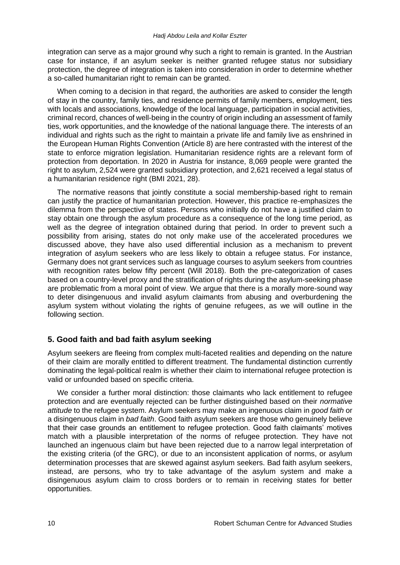integration can serve as a major ground why such a right to remain is granted. In the Austrian case for instance, if an asylum seeker is neither granted refugee status nor subsidiary protection, the degree of integration is taken into consideration in order to determine whether a so-called humanitarian right to remain can be granted.

When coming to a decision in that regard, the authorities are asked to consider the length of stay in the country, family ties, and residence permits of family members, employment, ties with locals and associations, knowledge of the local language, participation in social activities, criminal record, chances of well-being in the country of origin including an assessment of family ties, work opportunities, and the knowledge of the national language there. The interests of an individual and rights such as the right to maintain a private life and family live as enshrined in the European Human Rights Convention (Article 8) are here contrasted with the interest of the state to enforce migration legislation. Humanitarian residence rights are a relevant form of protection from deportation. In 2020 in Austria for instance, 8,069 people were granted the right to asylum, 2,524 were granted subsidiary protection, and 2,621 received a legal status of a humanitarian residence right (BMI 2021, 28).

The normative reasons that jointly constitute a social membership-based right to remain can justify the practice of humanitarian protection. However, this practice re-emphasizes the dilemma from the perspective of states. Persons who initially do not have a justified claim to stay obtain one through the asylum procedure as a consequence of the long time period, as well as the degree of integration obtained during that period. In order to prevent such a possibility from arising, states do not only make use of the accelerated procedures we discussed above, they have also used differential inclusion as a mechanism to prevent integration of asylum seekers who are less likely to obtain a refugee status. For instance, Germany does not grant services such as language courses to asylum seekers from countries with recognition rates below fifty percent (Will 2018). Both the pre-categorization of cases based on a country-level proxy and the stratification of rights during the asylum-seeking phase are problematic from a moral point of view. We argue that there is a morally more-sound way to deter disingenuous and invalid asylum claimants from abusing and overburdening the asylum system without violating the rights of genuine refugees, as we will outline in the following section.

# **5. Good faith and bad faith asylum seeking**

Asylum seekers are fleeing from complex multi-faceted realities and depending on the nature of their claim are morally entitled to different treatment. The fundamental distinction currently dominating the legal-political realm is whether their claim to international refugee protection is valid or unfounded based on specific criteria.

We consider a further moral distinction: those claimants who lack entitlement to refugee protection and are eventually rejected can be further distinguished based on their *normative attitude* to the refugee system. Asylum seekers may make an ingenuous claim in *good faith* or a disingenuous claim in *bad faith*. Good faith asylum seekers are those who genuinely believe that their case grounds an entitlement to refugee protection. Good faith claimants' motives match with a plausible interpretation of the norms of refugee protection. They have not launched an ingenuous claim but have been rejected due to a narrow legal interpretation of the existing criteria (of the GRC), or due to an inconsistent application of norms, or asylum determination processes that are skewed against asylum seekers. Bad faith asylum seekers, instead, are persons, who try to take advantage of the asylum system and make a disingenuous asylum claim to cross borders or to remain in receiving states for better opportunities.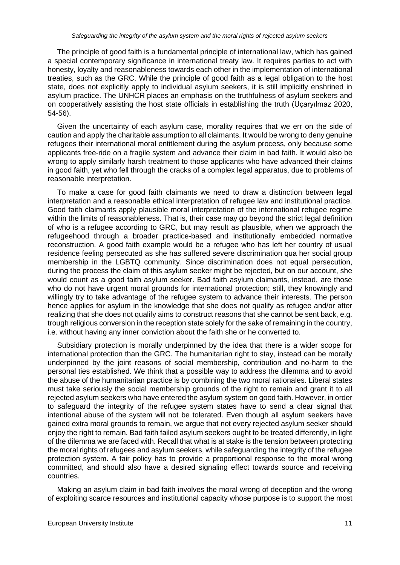The principle of good faith is a fundamental principle of international law, which has gained a special contemporary significance in international treaty law. It requires parties to act with honesty, loyalty and reasonableness towards each other in the implementation of international treaties, such as the GRC. While the principle of good faith as a legal obligation to the host state, does not explicitly apply to individual asylum seekers, it is still implicitly enshrined in asylum practice. The UNHCR places an emphasis on the truthfulness of asylum seekers and on cooperatively assisting the host state officials in establishing the truth [\(Uçaryılmaz](https://www.researchgate.net/scientific-contributions/Talya-Ucaryilmaz-2177260962) 2020, 54-56).

Given the uncertainty of each asylum case, morality requires that we err on the side of caution and apply the charitable assumption to all claimants. It would be wrong to deny genuine refugees their international moral entitlement during the asylum process, only because some applicants free-ride on a fragile system and advance their claim in bad faith. It would also be wrong to apply similarly harsh treatment to those applicants who have advanced their claims in good faith, yet who fell through the cracks of a complex legal apparatus, due to problems of reasonable interpretation.

To make a case for good faith claimants we need to draw a distinction between legal interpretation and a reasonable ethical interpretation of refugee law and institutional practice. Good faith claimants apply plausible moral interpretation of the international refugee regime within the limits of reasonableness. That is, their case may go beyond the strict legal definition of who is a refugee according to GRC, but may result as plausible, when we approach the refugeehood through a broader practice-based and institutionally embedded normative reconstruction. A good faith example would be a refugee who has left her country of usual residence feeling persecuted as she has suffered severe discrimination qua her social group membership in the LGBTQ community. Since discrimination does not equal persecution, during the process the claim of this asylum seeker might be rejected, but on our account, she would count as a good faith asylum seeker. Bad faith asylum claimants, instead, are those who do not have urgent moral grounds for international protection; still, they knowingly and willingly try to take advantage of the refugee system to advance their interests. The person hence applies for asylum in the knowledge that she does not qualify as refugee and/or after realizing that she does not qualify aims to construct reasons that she cannot be sent back, e.g. trough religious conversion in the reception state solely for the sake of remaining in the country, i.e. without having any inner conviction about the faith she or he converted to.

Subsidiary protection is morally underpinned by the idea that there is a wider scope for international protection than the GRC. The humanitarian right to stay, instead can be morally underpinned by the joint reasons of social membership, contribution and no-harm to the personal ties established. We think that a possible way to address the dilemma and to avoid the abuse of the humanitarian practice is by combining the two moral rationales. Liberal states must take seriously the social membership grounds of the right to remain and grant it to all rejected asylum seekers who have entered the asylum system on good faith. However, in order to safeguard the integrity of the refugee system states have to send a clear signal that intentional abuse of the system will not be tolerated. Even though all asylum seekers have gained extra moral grounds to remain, we argue that not every rejected asylum seeker should enjoy the right to remain. Bad faith failed asylum seekers ought to be treated differently, in light of the dilemma we are faced with. Recall that what is at stake is the tension between protecting the moral rights of refugees and asylum seekers, while safeguarding the integrity of the refugee protection system. A fair policy has to provide a proportional response to the moral wrong committed, and should also have a desired signaling effect towards source and receiving countries.

Making an asylum claim in bad faith involves the moral wrong of deception and the wrong of exploiting scarce resources and institutional capacity whose purpose is to support the most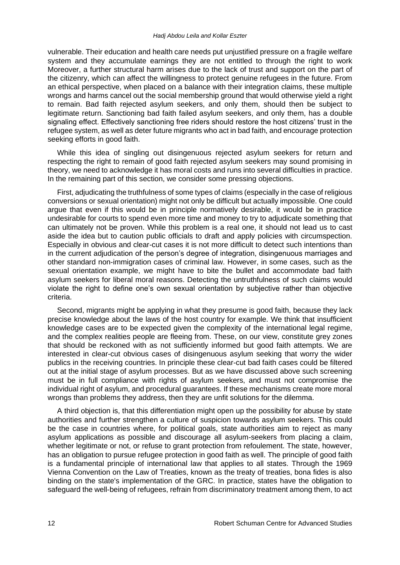#### *Hadj Abdou Leila and Kollar Eszter*

vulnerable. Their education and health care needs put unjustified pressure on a fragile welfare system and they accumulate earnings they are not entitled to through the right to work Moreover, a further structural harm arises due to the lack of trust and support on the part of the citizenry, which can affect the willingness to protect genuine refugees in the future. From an ethical perspective, when placed on a balance with their integration claims, these multiple wrongs and harms cancel out the social membership ground that would otherwise yield a right to remain. Bad faith rejected asylum seekers, and only them, should then be subject to legitimate return. Sanctioning bad faith failed asylum seekers, and only them, has a double signaling effect. Effectively sanctioning free riders should restore the host citizens' trust in the refugee system, as well as deter future migrants who act in bad faith, and encourage protection seeking efforts in good faith.

While this idea of singling out disingenuous rejected asylum seekers for return and respecting the right to remain of good faith rejected asylum seekers may sound promising in theory, we need to acknowledge it has moral costs and runs into several difficulties in practice. In the remaining part of this section, we consider some pressing objections.

First, adjudicating the truthfulness of some types of claims (especially in the case of religious conversions or sexual orientation) might not only be difficult but actually impossible. One could argue that even if this would be in principle normatively desirable, it would be in practice undesirable for courts to spend even more time and money to try to adjudicate something that can ultimately not be proven. While this problem is a real one, it should not lead us to cast aside the idea but to caution public officials to draft and apply policies with circumspection. Especially in obvious and clear-cut cases it is not more difficult to detect such intentions than in the current adjudication of the person's degree of integration, disingenuous marriages and other standard non-immigration cases of criminal law. However, in some cases, such as the sexual orientation example, we might have to bite the bullet and accommodate bad faith asylum seekers for liberal moral reasons. Detecting the untruthfulness of such claims would violate the right to define one's own sexual orientation by subjective rather than objective criteria.

Second, migrants might be applying in what they presume is good faith, because they lack precise knowledge about the laws of the host country for example. We think that insufficient knowledge cases are to be expected given the complexity of the international legal regime, and the complex realities people are fleeing from. These, on our view, constitute grey zones that should be reckoned with as not sufficiently informed but good faith attempts. We are interested in clear-cut obvious cases of disingenuous asylum seeking that worry the wider publics in the receiving countries. In principle these clear-cut bad faith cases could be filtered out at the initial stage of asylum processes. But as we have discussed above such screening must be in full compliance with rights of asylum seekers, and must not compromise the individual right of asylum, and procedural guarantees. If these mechanisms create more moral wrongs than problems they address, then they are unfit solutions for the dilemma.

A third objection is, that this differentiation might open up the possibility for abuse by state authorities and further strengthen a culture of suspicion towards asylum seekers. This could be the case in countries where, for political goals, state authorities aim to reject as many asylum applications as possible and discourage all asylum-seekers from placing a claim, whether legitimate or not, or refuse to grant protection from refoulement. The state, however, has an obligation to pursue refugee protection in good faith as well. The principle of good faith is a fundamental principle of international law that applies to all states. Through the 1969 Vienna Convention on the Law of Treaties, known as the treaty of treaties, bona fides is also binding on the state's implementation of the GRC. In practice, states have the obligation to safeguard the well-being of refugees, refrain from discriminatory treatment among them, to act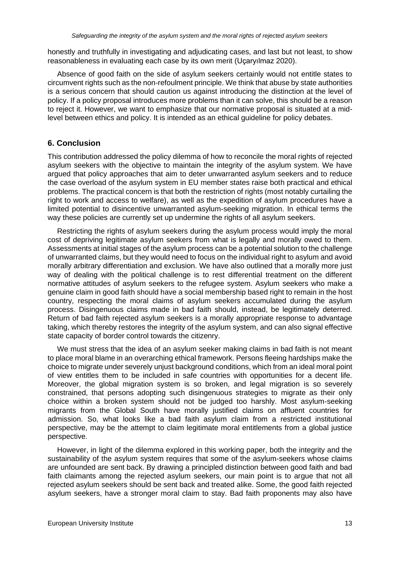honestly and truthfully in investigating and adjudicating cases, and last but not least, to show reasonableness in evaluating each case by its own merit [\(Uçaryılmaz](https://www.researchgate.net/scientific-contributions/Talya-Ucaryilmaz-2177260962) 2020).

Absence of good faith on the side of asylum seekers certainly would not entitle states to circumvent rights such as the non-refoulment principle. We think that abuse by state authorities is a serious concern that should caution us against introducing the distinction at the level of policy. If a policy proposal introduces more problems than it can solve, this should be a reason to reject it. However, we want to emphasize that our normative proposal is situated at a midlevel between ethics and policy. It is intended as an ethical guideline for policy debates.

# **6. Conclusion**

This contribution addressed the policy dilemma of how to reconcile the moral rights of rejected asylum seekers with the objective to maintain the integrity of the asylum system. We have argued that policy approaches that aim to deter unwarranted asylum seekers and to reduce the case overload of the asylum system in EU member states raise both practical and ethical problems. The practical concern is that both the restriction of rights (most notably curtailing the right to work and access to welfare), as well as the expedition of asylum procedures have a limited potential to disincentive unwarranted asylum-seeking migration. In ethical terms the way these policies are currently set up undermine the rights of all asylum seekers.

Restricting the rights of asylum seekers during the asylum process would imply the moral cost of depriving legitimate asylum seekers from what is legally and morally owed to them. Assessments at initial stages of the asylum process can be a potential solution to the challenge of unwarranted claims, but they would need to focus on the individual right to asylum and avoid morally arbitrary differentiation and exclusion. We have also outlined that a morally more just way of dealing with the political challenge is to rest differential treatment on the different normative attitudes of asylum seekers to the refugee system. Asylum seekers who make a genuine claim in good faith should have a social membership based right to remain in the host country, respecting the moral claims of asylum seekers accumulated during the asylum process. Disingenuous claims made in bad faith should, instead, be legitimately deterred. Return of bad faith rejected asylum seekers is a morally appropriate response to advantage taking, which thereby restores the integrity of the asylum system, and can also signal effective state capacity of border control towards the citizenry.

We must stress that the idea of an asylum seeker making claims in bad faith is not meant to place moral blame in an overarching ethical framework. Persons fleeing hardships make the choice to migrate under severely unjust background conditions, which from an ideal moral point of view entitles them to be included in safe countries with opportunities for a decent life. Moreover, the global migration system is so broken, and legal migration is so severely constrained, that persons adopting such disingenuous strategies to migrate as their only choice within a broken system should not be judged too harshly. Most asylum-seeking migrants from the Global South have morally justified claims on affluent countries for admission. So, what looks like a bad faith asylum claim from a restricted institutional perspective, may be the attempt to claim legitimate moral entitlements from a global justice perspective.

However, in light of the dilemma explored in this working paper, both the integrity and the sustainability of the asylum system requires that some of the asylum-seekers whose claims are unfounded are sent back. By drawing a principled distinction between good faith and bad faith claimants among the rejected asylum seekers, our main point is to argue that not all rejected asylum seekers should be sent back and treated alike. Some, the good faith rejected asylum seekers, have a stronger moral claim to stay. Bad faith proponents may also have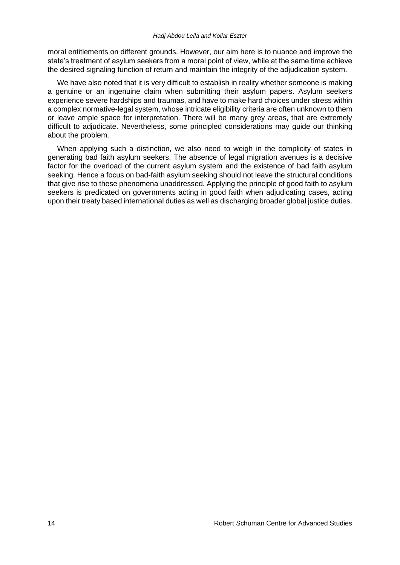moral entitlements on different grounds. However, our aim here is to nuance and improve the state's treatment of asylum seekers from a moral point of view, while at the same time achieve the desired signaling function of return and maintain the integrity of the adjudication system.

We have also noted that it is very difficult to establish in reality whether someone is making a genuine or an ingenuine claim when submitting their asylum papers. Asylum seekers experience severe hardships and traumas, and have to make hard choices under stress within a complex normative-legal system, whose intricate eligibility criteria are often unknown to them or leave ample space for interpretation. There will be many grey areas, that are extremely difficult to adjudicate. Nevertheless, some principled considerations may guide our thinking about the problem.

When applying such a distinction, we also need to weigh in the complicity of states in generating bad faith asylum seekers. The absence of legal migration avenues is a decisive factor for the overload of the current asylum system and the existence of bad faith asylum seeking. Hence a focus on bad-faith asylum seeking should not leave the structural conditions that give rise to these phenomena unaddressed. Applying the principle of good faith to asylum seekers is predicated on governments acting in good faith when adjudicating cases, acting upon their treaty based international duties as well as discharging broader global justice duties.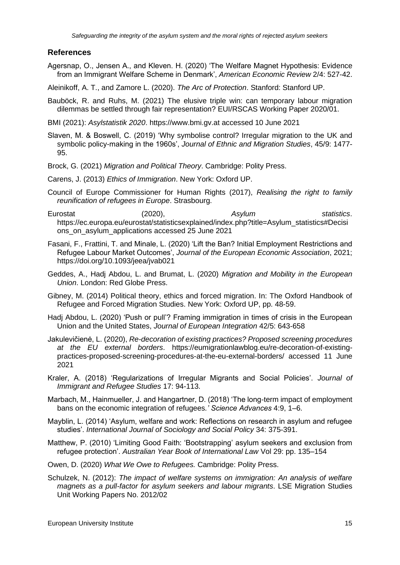#### **References**

- Agersnap, O., Jensen A., and Kleven. H. (2020) 'The Welfare Magnet Hypothesis: Evidence from an Immigrant Welfare Scheme in Denmark', *American Economic Review* 2/4: 527-42.
- Aleinikoff, A. T., and Zamore L. (2020). *The Arc of Protection*. Stanford: Stanford UP.
- Bauböck, R. and Ruhs, M. (2021) The elusive triple win: can temporary labour migration dilemmas be settled through fair representation? EUI/RSCAS Working Paper 2020/01.
- BMI (2021): *Asylstatistik 2020*. https://www.bmi.gv.at accessed 10 June 2021
- Slaven, M. & Boswell, C. (2019) 'Why symbolise control? Irregular migration to the UK and symbolic policy-making in the 1960s', *Journal of Ethnic and Migration Studies*, 45/9: 1477- 95.
- Brock, G. (2021) *Migration and Political Theory*. Cambridge: Polity Press.
- Carens, J. (2013) *Ethics of Immigration*. New York: Oxford UP.
- Council of Europe Commissioner for Human Rights (2017), *Realising the right to family reunification of refugees in Europe*. Strasbourg.
- Eurostat (2020), *Asylum statistics*. [https://ec.europa.eu/eurostat/statisticsexplained/index.php?title=Asylum\\_statistics#Decisi](https://ec.europa.eu/eurostat/statisticsexplained/index.php?title=Asylum_statistics#Decisions_on_asylum_applications) [ons\\_on\\_asylum\\_applications](https://ec.europa.eu/eurostat/statisticsexplained/index.php?title=Asylum_statistics#Decisions_on_asylum_applications) accessed 25 June 2021
- Fasani, F., Frattini, T. and Minale, L. (2020) 'Lift the Ban? Initial Employment Restrictions and Refugee Labour Market Outcomes', *Journal of the European Economic Association*, 2021; <https://doi.org/10.1093/jeea/jvab021>
- Geddes, A., Hadj Abdou, L. and Brumat, L. (2020) *Migration and Mobility in the European Union*. London: Red Globe Press.
- Gibney, M. (2014) Political theory, ethics and forced migration. In: The Oxford Handbook of Refugee and Forced Migration Studies. New York: Oxford UP, pp. 48-59.
- Hadj Abdou, L. (2020) 'Push or pull'? Framing immigration in times of crisis in the European Union and the United States, *Journal of European Integration* 42/5: 643-658
- [Jakulevičienė,](http://odysseus-network.eu/members/lyra-jakuleviciene/) L. (2020), *Re-decoration of existing practices? Proposed screening procedures at the EU external borders*. https://eumigrationlawblog.eu/re-decoration-of-existingpractices-proposed-screening-procedures-at-the-eu-external-borders/ accessed 11 June 2021
- Kraler, A. (2018) 'Regularizations of Irregular Migrants and Social Policies'. *Journal of Immigrant and Refugee Studies* 17: 94-113.
- Marbach, M., Hainmueller, J. and Hangartner, D. (2018) 'The long-term impact of employment bans on the economic integration of refugees*.' Science Advances* 4:9, 1–6.
- Mayblin, L. (2014) 'Asylum, welfare and work: Reflections on research in asylum and refugee studies'. *International Journal of Sociology and Social Policy* 34: 375-391.
- Matthew, P. (2010) 'Limiting Good Faith: 'Bootstrapping' asylum seekers and exclusion from refugee protection'. *Australian Year Book of International Law* Vol 29: pp. 135–154
- Owen, D. (2020) *What We Owe to Refugees.* Cambridge: Polity Press.
- Schulzek, N. (2012): *The impact of welfare systems on immigration: An analysis of welfare magnets as a pull-factor for asylum seekers and labour migrants*. LSE Migration Studies Unit Working Papers No. 2012/02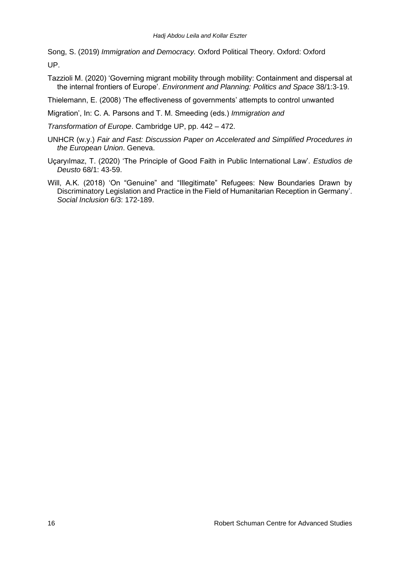Song, S. (2019) *Immigration and Democracy.* Oxford Political Theory. Oxford: Oxford UP.

Tazzioli M. (2020) 'Governing migrant mobility through mobility: Containment and dispersal at the internal frontiers of Europe'. *Environment and Planning: Politics and Space* 38/1:3-19.

Thielemann, E. (2008) 'The effectiveness of governments' attempts to control unwanted

Migration', In: C. A. Parsons and T. M. Smeeding (eds.) *Immigration and*

*Transformation of Europe*. Cambridge UP, pp. 442 – 472.

- UNHCR (w.y.) *Fair and Fast: Discussion Paper on Accelerated and Simplified Procedures in the European Union*. Geneva.
- Uçaryılmaz, T. (2020) 'The Principle of Good Faith in Public International Law'. *Estudios de Deusto* 68/1: 43-59.
- Will, A.K. (2018) 'On "Genuine" and "Illegitimate" Refugees: New Boundaries Drawn by Discriminatory Legislation and Practice in the Field of Humanitarian Reception in Germany'. *Social Inclusion* 6/3: 172-189.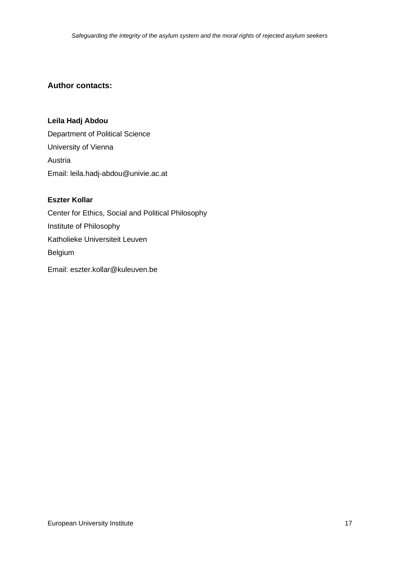# **Author contacts:**

#### **Leila Hadj Abdou**

Department of Political Science University of Vienna Austria Email: leila.hadj-abdou@univie.ac.at

#### **Eszter Kollar**

Center for Ethics, Social and Political Philosophy Institute of Philosophy Katholieke Universiteit Leuven Belgium

Email: eszter.kollar@kuleuven.be